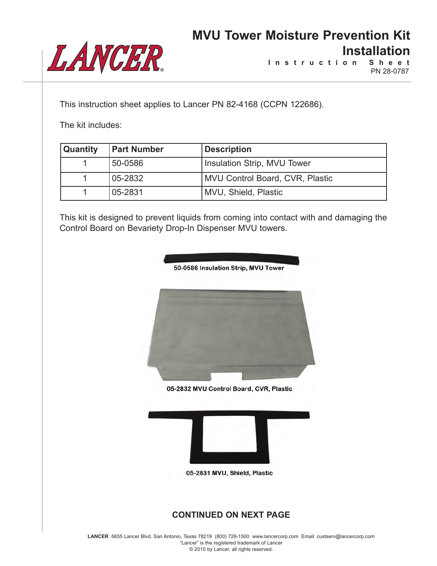

**I n s t r u c t i o n S h e e t** PN 28-0787

This instruction sheet applies to Lancer PN 82-4168 (CCPN 122686).

The kit includes:

| <b>Quantity</b> | <b>Part Number</b> | <b>Description</b>              |
|-----------------|--------------------|---------------------------------|
|                 | 50-0586            | Insulation Strip, MVU Tower     |
|                 | 05-2832            | MVU Control Board, CVR, Plastic |
|                 | 05-2831            | MVU, Shield, Plastic            |

This kit is designed to prevent liquids from coming into contact with and damaging the Control Board on Bevariety Drop-In Dispenser MVU towers.



**LANCER** 6655 Lancer Blvd. San Antonio, Texas 78219 (800) 729-1500 www.lancercorp.com Email: custserv@lancercorp.com "Lancer" is the registered trademark of Lancer © 2010 by Lancer, all rights reserved.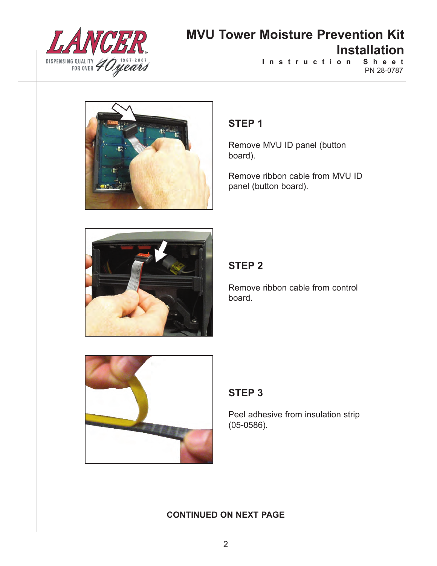

PN 28-0787 **I n s t r u c t i o n S h e e t**



## **STEP 1**

Remove MVU ID panel (button board).

Remove ribbon cable from MVU ID panel (button board).



## **STEP 2**

Remove ribbon cable from control board.



## **STEP 3**

Peel adhesive from insulation strip (05-0586).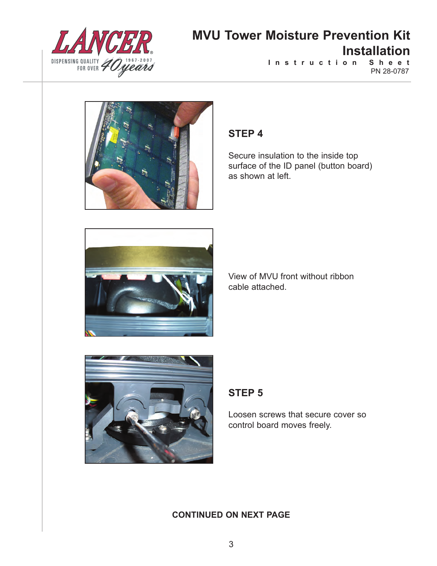

**I n s t r u c t i o n S h e e t** PN 28-0787



### **STEP 4**

Secure insulation to the inside top surface of the ID panel (button board) as shown at left.



View of MVU front without ribbon cable attached.



## **STEP 5**

Loosen screws that secure cover so control board moves freely.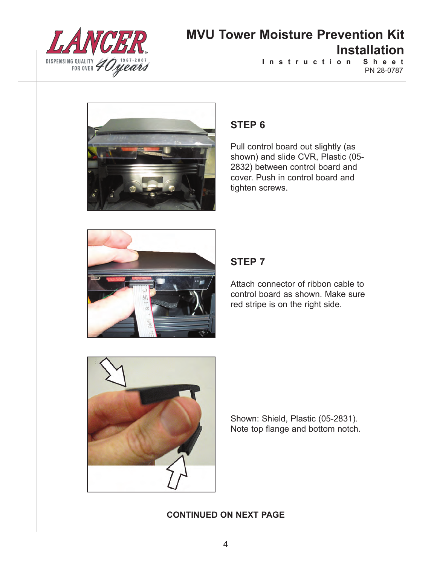

PN 28-0787 **I n s t r u c t i o n S h e e t**



## **STEP 6**

Pull control board out slightly (as shown) and slide CVR, Plastic (05- 2832) between control board and cover. Push in control board and tighten screws.



## **STEP 7**

Attach connector of ribbon cable to control board as shown. Make sure red stripe is on the right side.



Shown: Shield, Plastic (05-2831). Note top flange and bottom notch.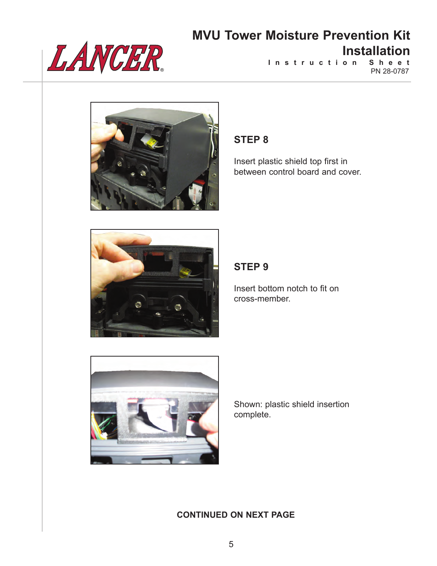

**I n s t r u c t i o n S h e e t** PN 28-0787



### **STEP 8**

Insert plastic shield top first in between control board and cover.



### **STEP 9**

Insert bottom notch to fit on cross-member.



Shown: plastic shield insertion complete.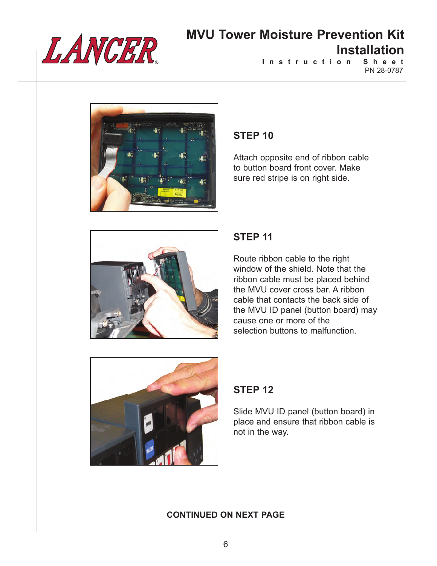

**I n s t r u c t i o n S h e e t** PN 28-0787



#### **STEP 10**

Attach opposite end of ribbon cable to button board front cover. Make sure red stripe is on right side.



### **STEP 11**

Route ribbon cable to the right window of the shield. Note that the ribbon cable must be placed behind the MVU cover cross bar. A ribbon cable that contacts the back side of the MVU ID panel (button board) may cause one or more of the selection buttons to malfunction.



### **STEP 12**

Slide MVU ID panel (button board) in place and ensure that ribbon cable is not in the way.